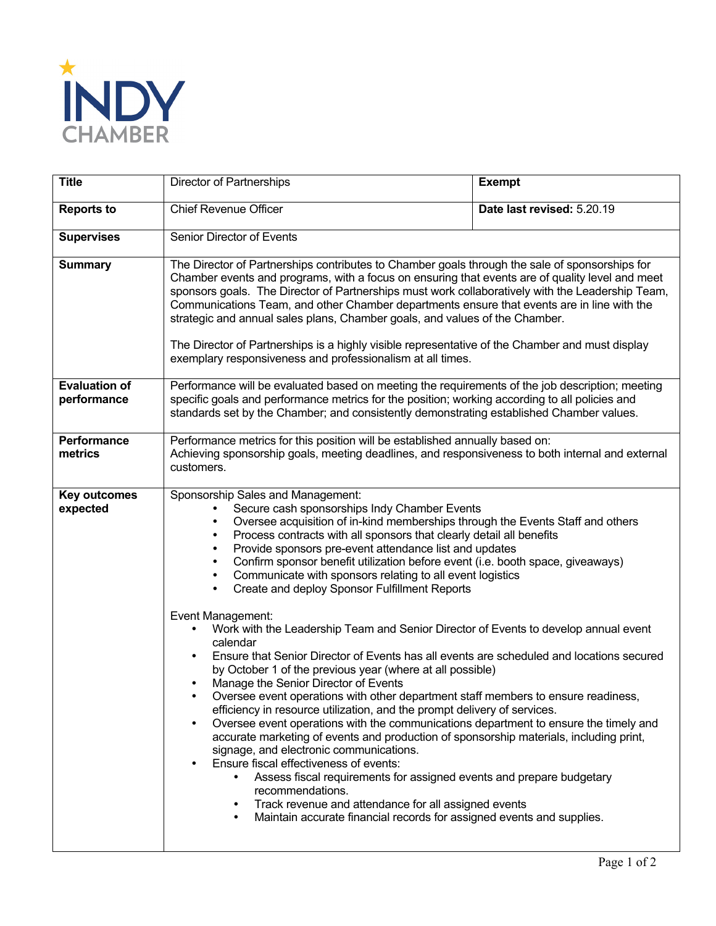

| <b>Title</b>                        | Director of Partnerships                                                                                                                                                                                                                                                                                                                                                                                                                                                                                                                                                                                                                                                                                                                                                                                                                                                                                                                                                                                                                                                                                                                                                                                                                                                                                                                                                                                                                                                                                                                                                  | <b>Exempt</b>              |
|-------------------------------------|---------------------------------------------------------------------------------------------------------------------------------------------------------------------------------------------------------------------------------------------------------------------------------------------------------------------------------------------------------------------------------------------------------------------------------------------------------------------------------------------------------------------------------------------------------------------------------------------------------------------------------------------------------------------------------------------------------------------------------------------------------------------------------------------------------------------------------------------------------------------------------------------------------------------------------------------------------------------------------------------------------------------------------------------------------------------------------------------------------------------------------------------------------------------------------------------------------------------------------------------------------------------------------------------------------------------------------------------------------------------------------------------------------------------------------------------------------------------------------------------------------------------------------------------------------------------------|----------------------------|
| <b>Reports to</b>                   | Chief Revenue Officer                                                                                                                                                                                                                                                                                                                                                                                                                                                                                                                                                                                                                                                                                                                                                                                                                                                                                                                                                                                                                                                                                                                                                                                                                                                                                                                                                                                                                                                                                                                                                     | Date last revised: 5.20.19 |
| <b>Supervises</b>                   | Senior Director of Events                                                                                                                                                                                                                                                                                                                                                                                                                                                                                                                                                                                                                                                                                                                                                                                                                                                                                                                                                                                                                                                                                                                                                                                                                                                                                                                                                                                                                                                                                                                                                 |                            |
| <b>Summary</b>                      | The Director of Partnerships contributes to Chamber goals through the sale of sponsorships for<br>Chamber events and programs, with a focus on ensuring that events are of quality level and meet<br>sponsors goals. The Director of Partnerships must work collaboratively with the Leadership Team,<br>Communications Team, and other Chamber departments ensure that events are in line with the<br>strategic and annual sales plans, Chamber goals, and values of the Chamber.<br>The Director of Partnerships is a highly visible representative of the Chamber and must display<br>exemplary responsiveness and professionalism at all times.                                                                                                                                                                                                                                                                                                                                                                                                                                                                                                                                                                                                                                                                                                                                                                                                                                                                                                                       |                            |
| <b>Evaluation of</b><br>performance | Performance will be evaluated based on meeting the requirements of the job description; meeting<br>specific goals and performance metrics for the position; working according to all policies and<br>standards set by the Chamber; and consistently demonstrating established Chamber values.                                                                                                                                                                                                                                                                                                                                                                                                                                                                                                                                                                                                                                                                                                                                                                                                                                                                                                                                                                                                                                                                                                                                                                                                                                                                             |                            |
| <b>Performance</b><br>metrics       | Performance metrics for this position will be established annually based on:<br>Achieving sponsorship goals, meeting deadlines, and responsiveness to both internal and external<br>customers.                                                                                                                                                                                                                                                                                                                                                                                                                                                                                                                                                                                                                                                                                                                                                                                                                                                                                                                                                                                                                                                                                                                                                                                                                                                                                                                                                                            |                            |
| <b>Key outcomes</b><br>expected     | Sponsorship Sales and Management:<br>Secure cash sponsorships Indy Chamber Events<br>Oversee acquisition of in-kind memberships through the Events Staff and others<br>$\bullet$<br>Process contracts with all sponsors that clearly detail all benefits<br>$\bullet$<br>Provide sponsors pre-event attendance list and updates<br>$\bullet$<br>Confirm sponsor benefit utilization before event (i.e. booth space, giveaways)<br>٠<br>Communicate with sponsors relating to all event logistics<br>$\bullet$<br>Create and deploy Sponsor Fulfillment Reports<br>Event Management:<br>Work with the Leadership Team and Senior Director of Events to develop annual event<br>calendar<br>Ensure that Senior Director of Events has all events are scheduled and locations secured<br>by October 1 of the previous year (where at all possible)<br>Manage the Senior Director of Events<br>Oversee event operations with other department staff members to ensure readiness,<br>efficiency in resource utilization, and the prompt delivery of services.<br>Oversee event operations with the communications department to ensure the timely and<br>accurate marketing of events and production of sponsorship materials, including print,<br>signage, and electronic communications.<br>Ensure fiscal effectiveness of events:<br>Assess fiscal requirements for assigned events and prepare budgetary<br>recommendations.<br>Track revenue and attendance for all assigned events<br>Maintain accurate financial records for assigned events and supplies.<br>$\bullet$ |                            |